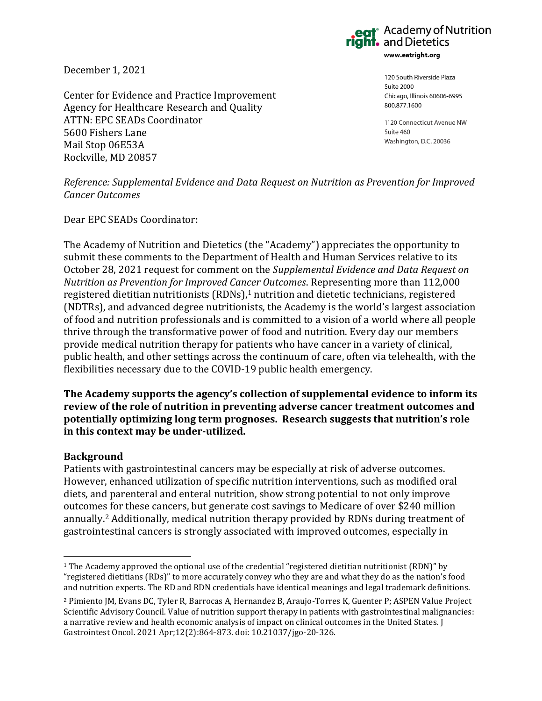December 1, 2021

Center for Evidence and Practice Improvement Agency for Healthcare Research and Quality ATTN: EPC SEADs Coordinator 5600 Fishers Lane Mail Stop 06E53A Rockville, MD 20857

 $\cdot$  Academy of Nutrition and Dietetics www.eatright.org

> 120 South Riverside Plaza Suite 2000 Chicago, Illinois 60606-6995 800.877.1600

1120 Connecticut Avenue NW Suite 460 Washington, D.C. 20036

*Reference: Supplemental Evidence and Data Request on Nutrition as Prevention for Improved Cancer Outcomes*

Dear EPC SEADs Coordinator:

The Academy of Nutrition and Dietetics (the "Academy") appreciates the opportunity to submit these comments to the Department of Health and Human Services relative to its October 28, 2021 request for comment on the *Supplemental Evidence and Data Request on Nutrition as Prevention for Improved Cancer Outcomes*. Representing more than 112,000 registered dietitian nutritionists (RDNs),<sup>1</sup> nutrition and dietetic technicians, registered (NDTRs), and advanced degree nutritionists, the Academy is the world's largest association of food and nutrition professionals and is committed to a vision of a world where all people thrive through the transformative power of food and nutrition. Every day our members provide medical nutrition therapy for patients who have cancer in a variety of clinical, public health, and other settings across the continuum of care, often via telehealth, with the flexibilities necessary due to the COVID-19 public health emergency.

**The Academy supports the agency's collection of supplemental evidence to inform its review of the role of nutrition in preventing adverse cancer treatment outcomes and potentially optimizing long term prognoses. Research suggests that nutrition's role in this context may be under-utilized.**

## **Background**

Patients with gastrointestinal cancers may be especially at risk of adverse outcomes. However, enhanced utilization of specific nutrition interventions, such as modified oral diets, and parenteral and enteral nutrition, show strong potential to not only improve outcomes for these cancers, but generate cost savings to Medicare of over \$240 million annually.<sup>2</sup> Additionally, medical nutrition therapy provided by RDNs during treatment of gastrointestinal cancers is strongly associated with improved outcomes, especially in

<sup>1</sup> The Academy approved the optional use of the credential "registered dietitian nutritionist (RDN)" by "registered dietitians (RDs)" to more accurately convey who they are and what they do as the nation's food and nutrition experts. The RD and RDN credentials have identical meanings and legal trademark definitions.

<sup>2</sup> Pimiento JM, Evans DC, Tyler R, Barrocas A, Hernandez B, Araujo-Torres K, Guenter P; ASPEN Value Project Scientific Advisory Council. Value of nutrition support therapy in patients with gastrointestinal malignancies: a narrative review and health economic analysis of impact on clinical outcomes in the United States. J Gastrointest Oncol. 2021 Apr;12(2):864-873. doi: 10.21037/jgo-20-326.